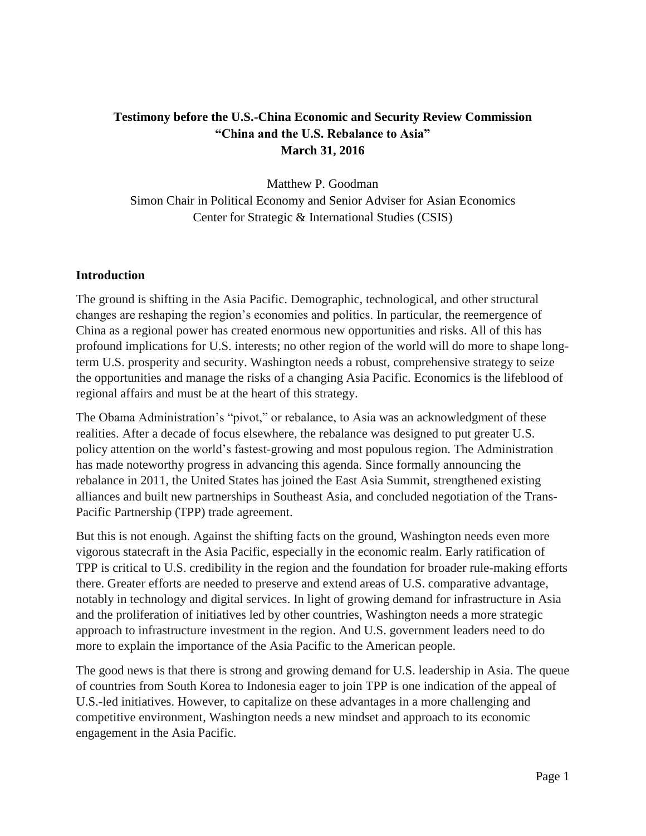# **Testimony before the U.S.-China Economic and Security Review Commission "China and the U.S. Rebalance to Asia" March 31, 2016**

Matthew P. Goodman Simon Chair in Political Economy and Senior Adviser for Asian Economics Center for Strategic & International Studies (CSIS)

#### **Introduction**

The ground is shifting in the Asia Pacific. Demographic, technological, and other structural changes are reshaping the region's economies and politics. In particular, the reemergence of China as a regional power has created enormous new opportunities and risks. All of this has profound implications for U.S. interests; no other region of the world will do more to shape longterm U.S. prosperity and security. Washington needs a robust, comprehensive strategy to seize the opportunities and manage the risks of a changing Asia Pacific. Economics is the lifeblood of regional affairs and must be at the heart of this strategy.

The Obama Administration's "pivot," or rebalance, to Asia was an acknowledgment of these realities. After a decade of focus elsewhere, the rebalance was designed to put greater U.S. policy attention on the world's fastest-growing and most populous region. The Administration has made noteworthy progress in advancing this agenda. Since formally announcing the rebalance in 2011, the United States has joined the East Asia Summit, strengthened existing alliances and built new partnerships in Southeast Asia, and concluded negotiation of the Trans-Pacific Partnership (TPP) trade agreement.

But this is not enough. Against the shifting facts on the ground, Washington needs even more vigorous statecraft in the Asia Pacific, especially in the economic realm. Early ratification of TPP is critical to U.S. credibility in the region and the foundation for broader rule-making efforts there. Greater efforts are needed to preserve and extend areas of U.S. comparative advantage, notably in technology and digital services. In light of growing demand for infrastructure in Asia and the proliferation of initiatives led by other countries, Washington needs a more strategic approach to infrastructure investment in the region. And U.S. government leaders need to do more to explain the importance of the Asia Pacific to the American people.

The good news is that there is strong and growing demand for U.S. leadership in Asia. The queue of countries from South Korea to Indonesia eager to join TPP is one indication of the appeal of U.S.-led initiatives. However, to capitalize on these advantages in a more challenging and competitive environment, Washington needs a new mindset and approach to its economic engagement in the Asia Pacific.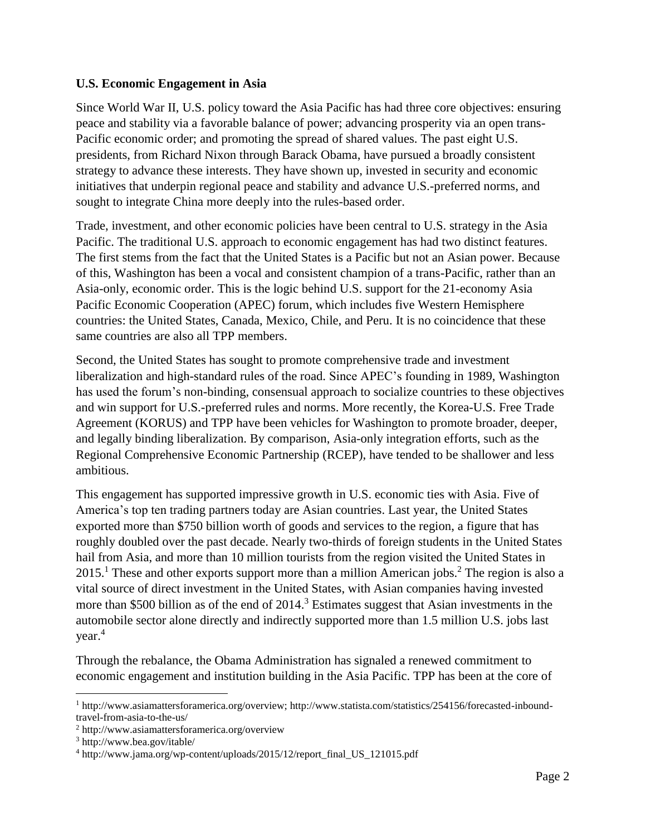#### **U.S. Economic Engagement in Asia**

Since World War II, U.S. policy toward the Asia Pacific has had three core objectives: ensuring peace and stability via a favorable balance of power; advancing prosperity via an open trans-Pacific economic order; and promoting the spread of shared values. The past eight U.S. presidents, from Richard Nixon through Barack Obama, have pursued a broadly consistent strategy to advance these interests. They have shown up, invested in security and economic initiatives that underpin regional peace and stability and advance U.S.-preferred norms, and sought to integrate China more deeply into the rules-based order.

Trade, investment, and other economic policies have been central to U.S. strategy in the Asia Pacific. The traditional U.S. approach to economic engagement has had two distinct features. The first stems from the fact that the United States is a Pacific but not an Asian power. Because of this, Washington has been a vocal and consistent champion of a trans-Pacific, rather than an Asia-only, economic order. This is the logic behind U.S. support for the 21-economy Asia Pacific Economic Cooperation (APEC) forum, which includes five Western Hemisphere countries: the United States, Canada, Mexico, Chile, and Peru. It is no coincidence that these same countries are also all TPP members.

Second, the United States has sought to promote comprehensive trade and investment liberalization and high-standard rules of the road. Since APEC's founding in 1989, Washington has used the forum's non-binding, consensual approach to socialize countries to these objectives and win support for U.S.-preferred rules and norms. More recently, the Korea-U.S. Free Trade Agreement (KORUS) and TPP have been vehicles for Washington to promote broader, deeper, and legally binding liberalization. By comparison, Asia-only integration efforts, such as the Regional Comprehensive Economic Partnership (RCEP), have tended to be shallower and less ambitious.

This engagement has supported impressive growth in U.S. economic ties with Asia. Five of America's top ten trading partners today are Asian countries. Last year, the United States exported more than \$750 billion worth of goods and services to the region, a figure that has roughly doubled over the past decade. Nearly two-thirds of foreign students in the United States hail from Asia, and more than 10 million tourists from the region visited the United States in  $2015<sup>1</sup>$  These and other exports support more than a million American jobs.<sup>2</sup> The region is also a vital source of direct investment in the United States, with Asian companies having invested more than \$500 billion as of the end of 2014.<sup>3</sup> Estimates suggest that Asian investments in the automobile sector alone directly and indirectly supported more than 1.5 million U.S. jobs last year. 4

Through the rebalance, the Obama Administration has signaled a renewed commitment to economic engagement and institution building in the Asia Pacific. TPP has been at the core of

 $\overline{a}$ 

<sup>&</sup>lt;sup>1</sup> http://www.asiamattersforamerica.org/overview; http://www.statista.com/statistics/254156/forecasted-inboundtravel-from-asia-to-the-us/

<sup>2</sup> http://www.asiamattersforamerica.org/overview

<sup>3</sup> http://www.bea.gov/itable/

<sup>4</sup> http://www.jama.org/wp-content/uploads/2015/12/report\_final\_US\_121015.pdf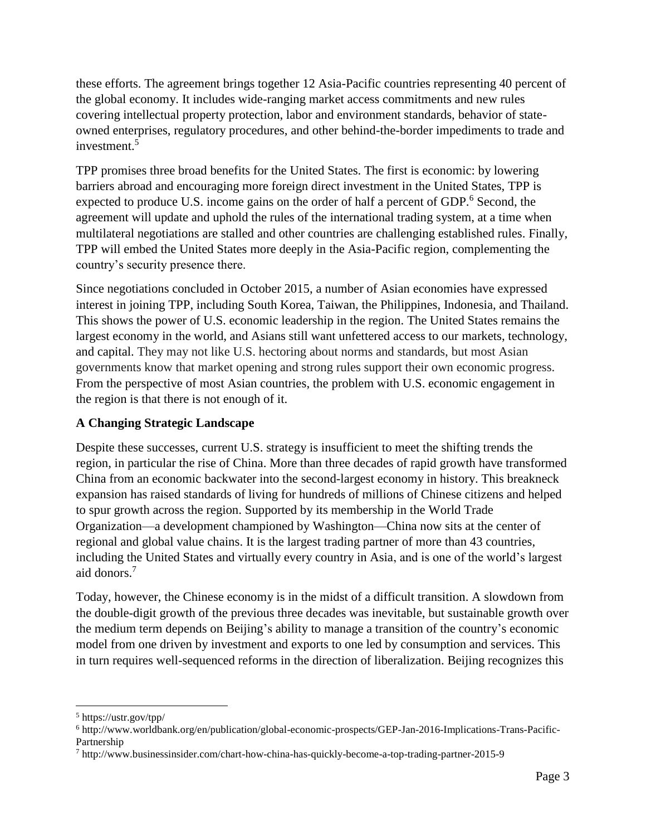these efforts. The agreement brings together 12 Asia-Pacific countries representing 40 percent of the global economy. It includes wide-ranging market access commitments and new rules covering intellectual property protection, labor and environment standards, behavior of stateowned enterprises, regulatory procedures, and other behind-the-border impediments to trade and investment.<sup>5</sup>

TPP promises three broad benefits for the United States. The first is economic: by lowering barriers abroad and encouraging more foreign direct investment in the United States, TPP is expected to produce U.S. income gains on the order of half a percent of GDP.<sup>6</sup> Second, the agreement will update and uphold the rules of the international trading system, at a time when multilateral negotiations are stalled and other countries are challenging established rules. Finally, TPP will embed the United States more deeply in the Asia-Pacific region, complementing the country's security presence there.

Since negotiations concluded in October 2015, a number of Asian economies have expressed interest in joining TPP, including South Korea, Taiwan, the Philippines, Indonesia, and Thailand. This shows the power of U.S. economic leadership in the region. The United States remains the largest economy in the world, and Asians still want unfettered access to our markets, technology, and capital. They may not like U.S. hectoring about norms and standards, but most Asian governments know that market opening and strong rules support their own economic progress. From the perspective of most Asian countries, the problem with U.S. economic engagement in the region is that there is not enough of it.

### **A Changing Strategic Landscape**

Despite these successes, current U.S. strategy is insufficient to meet the shifting trends the region, in particular the rise of China. More than three decades of rapid growth have transformed China from an economic backwater into the second-largest economy in history. This breakneck expansion has raised standards of living for hundreds of millions of Chinese citizens and helped to spur growth across the region. Supported by its membership in the World Trade Organization—a development championed by Washington—China now sits at the center of regional and global value chains. It is the largest trading partner of more than 43 countries, including the United States and virtually every country in Asia, and is one of the world's largest aid donors. 7

Today, however, the Chinese economy is in the midst of a difficult transition. A slowdown from the double-digit growth of the previous three decades was inevitable, but sustainable growth over the medium term depends on Beijing's ability to manage a transition of the country's economic model from one driven by investment and exports to one led by consumption and services. This in turn requires well-sequenced reforms in the direction of liberalization. Beijing recognizes this

 $\overline{\phantom{a}}$ 

<sup>5</sup> https://ustr.gov/tpp/

<sup>6</sup> http://www.worldbank.org/en/publication/global-economic-prospects/GEP-Jan-2016-Implications-Trans-Pacific-Partnership

<sup>7</sup> http://www.businessinsider.com/chart-how-china-has-quickly-become-a-top-trading-partner-2015-9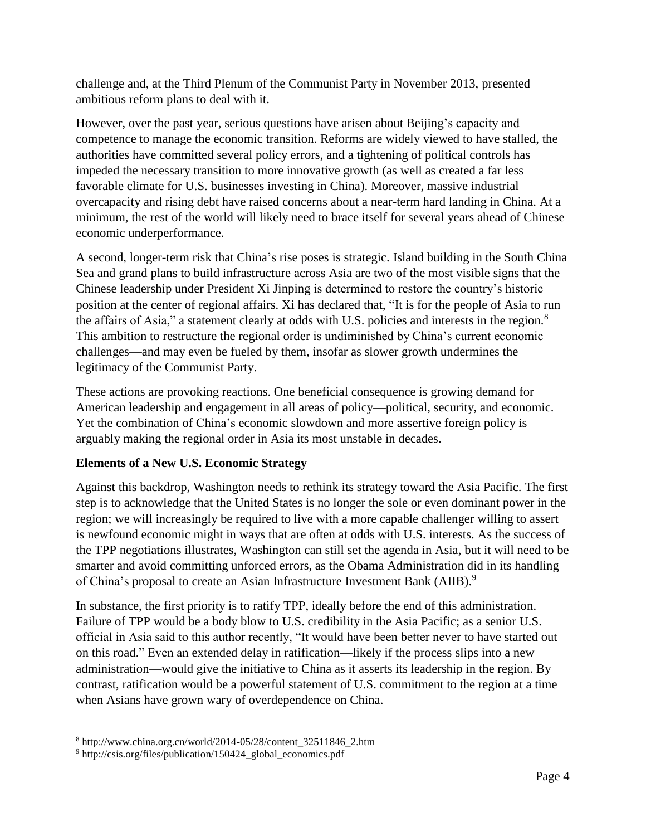challenge and, at the Third Plenum of the Communist Party in November 2013, presented ambitious reform plans to deal with it.

However, over the past year, serious questions have arisen about Beijing's capacity and competence to manage the economic transition. Reforms are widely viewed to have stalled, the authorities have committed several policy errors, and a tightening of political controls has impeded the necessary transition to more innovative growth (as well as created a far less favorable climate for U.S. businesses investing in China). Moreover, massive industrial overcapacity and rising debt have raised concerns about a near-term hard landing in China. At a minimum, the rest of the world will likely need to brace itself for several years ahead of Chinese economic underperformance.

A second, longer-term risk that China's rise poses is strategic. Island building in the South China Sea and grand plans to build infrastructure across Asia are two of the most visible signs that the Chinese leadership under President Xi Jinping is determined to restore the country's historic position at the center of regional affairs. Xi has declared that, "It is for the people of Asia to run the affairs of Asia," a statement clearly at odds with U.S. policies and interests in the region.<sup>8</sup> This ambition to restructure the regional order is undiminished by China's current economic challenges—and may even be fueled by them, insofar as slower growth undermines the legitimacy of the Communist Party.

These actions are provoking reactions. One beneficial consequence is growing demand for American leadership and engagement in all areas of policy—political, security, and economic. Yet the combination of China's economic slowdown and more assertive foreign policy is arguably making the regional order in Asia its most unstable in decades.

## **Elements of a New U.S. Economic Strategy**

Against this backdrop, Washington needs to rethink its strategy toward the Asia Pacific. The first step is to acknowledge that the United States is no longer the sole or even dominant power in the region; we will increasingly be required to live with a more capable challenger willing to assert is newfound economic might in ways that are often at odds with U.S. interests. As the success of the TPP negotiations illustrates, Washington can still set the agenda in Asia, but it will need to be smarter and avoid committing unforced errors, as the Obama Administration did in its handling of China's proposal to create an Asian Infrastructure Investment Bank (AIIB).<sup>9</sup>

In substance, the first priority is to ratify TPP, ideally before the end of this administration. Failure of TPP would be a body blow to U.S. credibility in the Asia Pacific; as a senior U.S. official in Asia said to this author recently, "It would have been better never to have started out on this road." Even an extended delay in ratification—likely if the process slips into a new administration—would give the initiative to China as it asserts its leadership in the region. By contrast, ratification would be a powerful statement of U.S. commitment to the region at a time when Asians have grown wary of overdependence on China.

 $\overline{\phantom{a}}$ 

 $8 \text{ http://www.china.org.cn/world/2014-05/28/content}$  32511846 2.htm

<sup>9</sup> http://csis.org/files/publication/150424\_global\_economics.pdf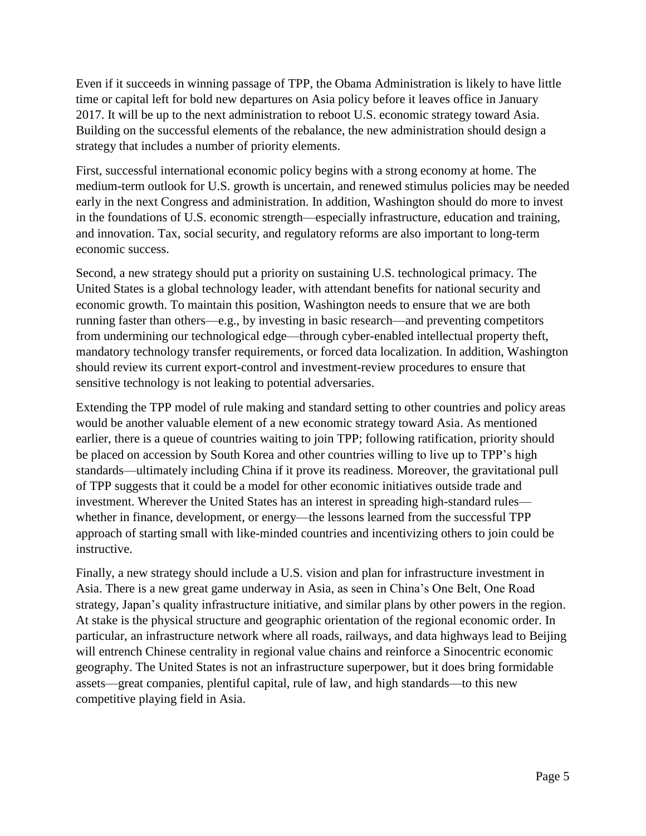Even if it succeeds in winning passage of TPP, the Obama Administration is likely to have little time or capital left for bold new departures on Asia policy before it leaves office in January 2017. It will be up to the next administration to reboot U.S. economic strategy toward Asia. Building on the successful elements of the rebalance, the new administration should design a strategy that includes a number of priority elements.

First, successful international economic policy begins with a strong economy at home. The medium-term outlook for U.S. growth is uncertain, and renewed stimulus policies may be needed early in the next Congress and administration. In addition, Washington should do more to invest in the foundations of U.S. economic strength—especially infrastructure, education and training, and innovation. Tax, social security, and regulatory reforms are also important to long-term economic success.

Second, a new strategy should put a priority on sustaining U.S. technological primacy. The United States is a global technology leader, with attendant benefits for national security and economic growth. To maintain this position, Washington needs to ensure that we are both running faster than others—e.g., by investing in basic research—and preventing competitors from undermining our technological edge—through cyber-enabled intellectual property theft, mandatory technology transfer requirements, or forced data localization. In addition, Washington should review its current export-control and investment-review procedures to ensure that sensitive technology is not leaking to potential adversaries.

Extending the TPP model of rule making and standard setting to other countries and policy areas would be another valuable element of a new economic strategy toward Asia. As mentioned earlier, there is a queue of countries waiting to join TPP; following ratification, priority should be placed on accession by South Korea and other countries willing to live up to TPP's high standards—ultimately including China if it prove its readiness. Moreover, the gravitational pull of TPP suggests that it could be a model for other economic initiatives outside trade and investment. Wherever the United States has an interest in spreading high-standard rules whether in finance, development, or energy—the lessons learned from the successful TPP approach of starting small with like-minded countries and incentivizing others to join could be instructive.

Finally, a new strategy should include a U.S. vision and plan for infrastructure investment in Asia. There is a new great game underway in Asia, as seen in China's One Belt, One Road strategy, Japan's quality infrastructure initiative, and similar plans by other powers in the region. At stake is the physical structure and geographic orientation of the regional economic order. In particular, an infrastructure network where all roads, railways, and data highways lead to Beijing will entrench Chinese centrality in regional value chains and reinforce a Sinocentric economic geography. The United States is not an infrastructure superpower, but it does bring formidable assets—great companies, plentiful capital, rule of law, and high standards—to this new competitive playing field in Asia.